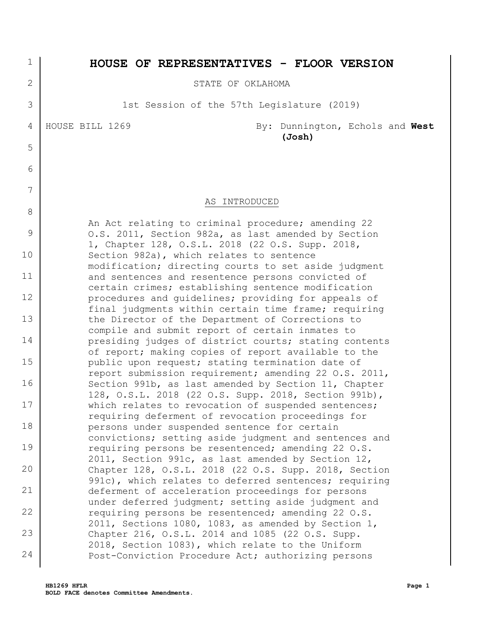| 5              |  |
|----------------|--|
| 6              |  |
| $\overline{7}$ |  |
| 8              |  |
| 9              |  |
| 10             |  |
| 11             |  |
| 12             |  |
| 13             |  |
| 14             |  |
| 15             |  |
| 16             |  |
| 17             |  |
| 18             |  |
| 19             |  |
| 20             |  |
| 21             |  |
| 22             |  |
| 23             |  |

24

## **HOUSE OF REPRESENTATIVES - FLOOR VERSION**

STATE OF OKLAHOMA

1st Session of the 57th Legislature (2019)

1

2

3

4

HOUSE BILL 1269 By: Dunnington, Echols and **West (Josh)**

## AS INTRODUCED

An Act relating to criminal procedure; amending 22 O.S. 2011, Section 982a, as last amended by Section 1, Chapter 128, O.S.L. 2018 (22 O.S. Supp. 2018, Section 982a), which relates to sentence modification; directing courts to set aside judgment and sentences and resentence persons convicted of certain crimes; establishing sentence modification procedures and guidelines; providing for appeals of final judgments within certain time frame; requiring the Director of the Department of Corrections to compile and submit report of certain inmates to presiding judges of district courts; stating contents of report; making copies of report available to the public upon request; stating termination date of report submission requirement; amending 22 O.S. 2011, Section 991b, as last amended by Section 11, Chapter 128, O.S.L. 2018 (22 O.S. Supp. 2018, Section 991b), which relates to revocation of suspended sentences; requiring deferment of revocation proceedings for persons under suspended sentence for certain convictions; setting aside judgment and sentences and requiring persons be resentenced; amending 22 O.S. 2011, Section 991c, as last amended by Section 12, Chapter 128, O.S.L. 2018 (22 O.S. Supp. 2018, Section 991c), which relates to deferred sentences; requiring deferment of acceleration proceedings for persons under deferred judgment; setting aside judgment and requiring persons be resentenced; amending 22 O.S. 2011, Sections 1080, 1083, as amended by Section 1, Chapter 216, O.S.L. 2014 and 1085 (22 O.S. Supp. 2018, Section 1083), which relate to the Uniform Post-Conviction Procedure Act; authorizing persons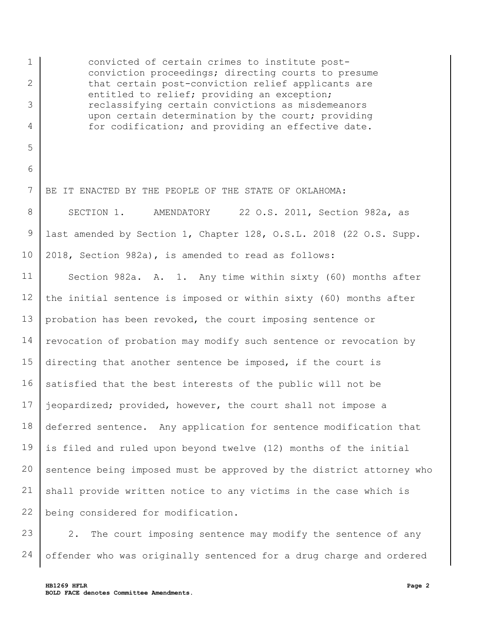1 2 3 4 5 6 7 8 9 10 11 12 13 14 15 16 17 18 19 20 21 22 convicted of certain crimes to institute postconviction proceedings; directing courts to presume that certain post-conviction relief applicants are entitled to relief; providing an exception; reclassifying certain convictions as misdemeanors upon certain determination by the court; providing for codification; and providing an effective date. BE IT ENACTED BY THE PEOPLE OF THE STATE OF OKLAHOMA: SECTION 1. AMENDATORY 22 O.S. 2011, Section 982a, as last amended by Section 1, Chapter 128, O.S.L. 2018 (22 O.S. Supp. 2018, Section 982a), is amended to read as follows: Section 982a. A. 1. Any time within sixty (60) months after the initial sentence is imposed or within sixty (60) months after probation has been revoked, the court imposing sentence or revocation of probation may modify such sentence or revocation by directing that another sentence be imposed, if the court is satisfied that the best interests of the public will not be jeopardized; provided, however, the court shall not impose a deferred sentence. Any application for sentence modification that is filed and ruled upon beyond twelve (12) months of the initial sentence being imposed must be approved by the district attorney who shall provide written notice to any victims in the case which is being considered for modification.

23 24 2. The court imposing sentence may modify the sentence of any offender who was originally sentenced for a drug charge and ordered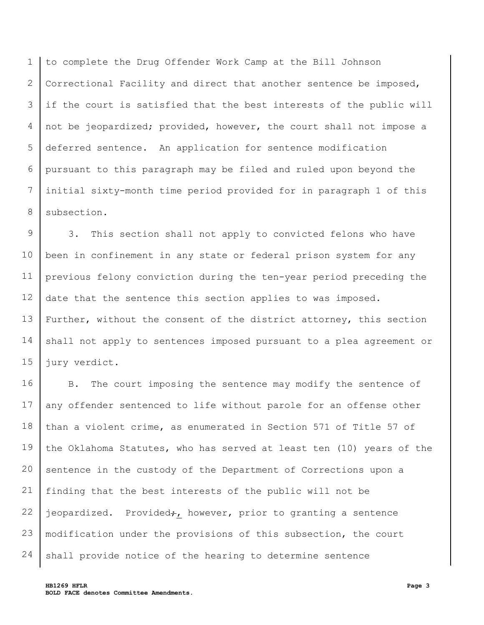1 2 3 4 5 6 7 8 to complete the Drug Offender Work Camp at the Bill Johnson Correctional Facility and direct that another sentence be imposed, if the court is satisfied that the best interests of the public will not be jeopardized; provided, however, the court shall not impose a deferred sentence. An application for sentence modification pursuant to this paragraph may be filed and ruled upon beyond the initial sixty-month time period provided for in paragraph 1 of this subsection.

9 10 11 12 13 14 15 3. This section shall not apply to convicted felons who have been in confinement in any state or federal prison system for any previous felony conviction during the ten-year period preceding the date that the sentence this section applies to was imposed. Further, without the consent of the district attorney, this section shall not apply to sentences imposed pursuant to a plea agreement or jury verdict.

16 17 18 19 20 21 22 23 24 B. The court imposing the sentence may modify the sentence of any offender sentenced to life without parole for an offense other than a violent crime, as enumerated in Section 571 of Title 57 of the Oklahoma Statutes, who has served at least ten (10) years of the sentence in the custody of the Department of Corrections upon a finding that the best interests of the public will not be jeopardized. Provided;, however, prior to granting a sentence modification under the provisions of this subsection, the court shall provide notice of the hearing to determine sentence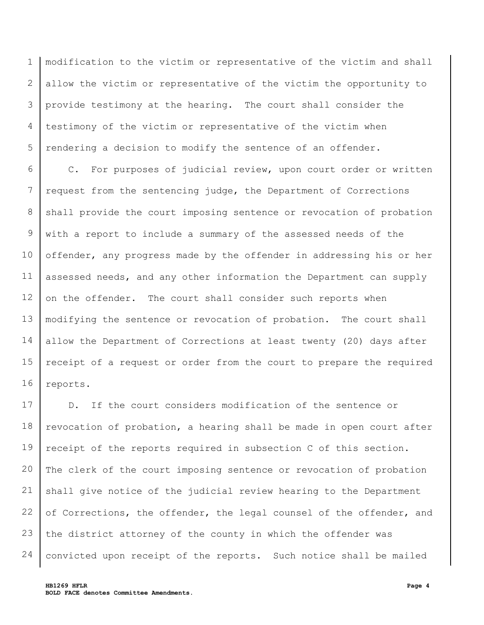1 2 3 4 5 modification to the victim or representative of the victim and shall allow the victim or representative of the victim the opportunity to provide testimony at the hearing. The court shall consider the testimony of the victim or representative of the victim when rendering a decision to modify the sentence of an offender.

6 7 8 9 10 11 12 13 14 15 16 C. For purposes of judicial review, upon court order or written request from the sentencing judge, the Department of Corrections shall provide the court imposing sentence or revocation of probation with a report to include a summary of the assessed needs of the offender, any progress made by the offender in addressing his or her assessed needs, and any other information the Department can supply on the offender. The court shall consider such reports when modifying the sentence or revocation of probation. The court shall allow the Department of Corrections at least twenty (20) days after receipt of a request or order from the court to prepare the required reports.

17 18 19 20 21 22 23 24 D. If the court considers modification of the sentence or revocation of probation, a hearing shall be made in open court after receipt of the reports required in subsection C of this section. The clerk of the court imposing sentence or revocation of probation shall give notice of the judicial review hearing to the Department of Corrections, the offender, the legal counsel of the offender, and the district attorney of the county in which the offender was convicted upon receipt of the reports. Such notice shall be mailed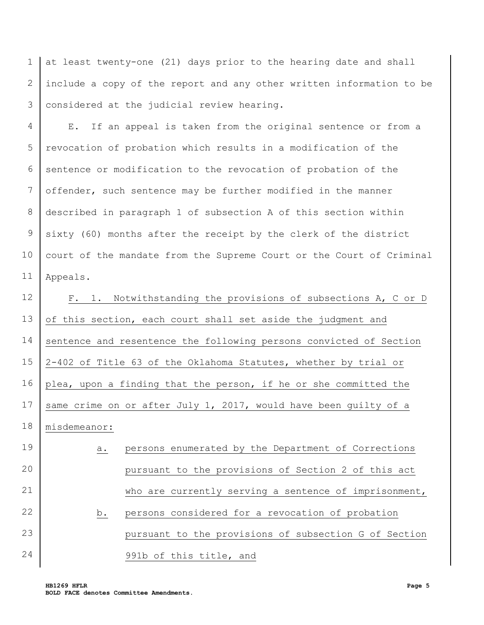1 2 3 at least twenty-one (21) days prior to the hearing date and shall include a copy of the report and any other written information to be considered at the judicial review hearing.

4 5 6 7 8 9 10 11 E. If an appeal is taken from the original sentence or from a revocation of probation which results in a modification of the sentence or modification to the revocation of probation of the offender, such sentence may be further modified in the manner described in paragraph 1 of subsection A of this section within sixty (60) months after the receipt by the clerk of the district court of the mandate from the Supreme Court or the Court of Criminal Appeals.

12 13 14 15 16 17 18 F. 1. Notwithstanding the provisions of subsections A, C or D of this section, each court shall set aside the judgment and sentence and resentence the following persons convicted of Section 2-402 of Title 63 of the Oklahoma Statutes, whether by trial or plea, upon a finding that the person, if he or she committed the same crime on or after July 1, 2017, would have been guilty of a misdemeanor:

19 20 21 22 23 24 a. persons enumerated by the Department of Corrections pursuant to the provisions of Section 2 of this act who are currently serving a sentence of imprisonment, b. persons considered for a revocation of probation pursuant to the provisions of subsection G of Section 991b of this title, and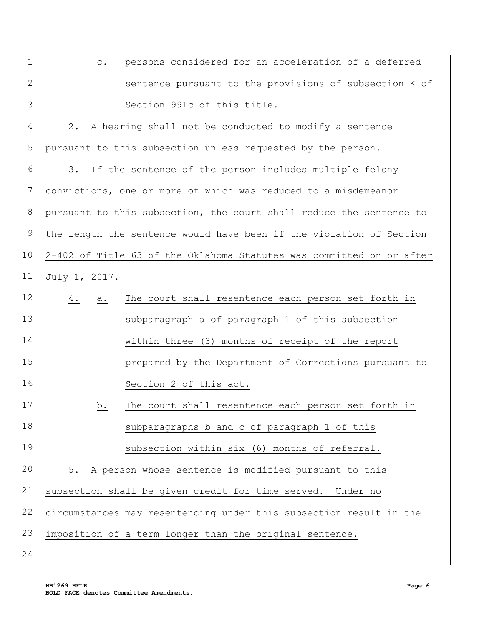| $\mathbf 1$    | persons considered for an acceleration of a deferred<br>$\mathtt{C}$ . |
|----------------|------------------------------------------------------------------------|
| 2              | sentence pursuant to the provisions of subsection K of                 |
| 3              | Section 991c of this title.                                            |
| 4              | 2. A hearing shall not be conducted to modify a sentence               |
| 5              | pursuant to this subsection unless requested by the person.            |
| 6              | 3. If the sentence of the person includes multiple felony              |
| $\overline{7}$ | convictions, one or more of which was reduced to a misdemeanor         |
| $8\,$          | pursuant to this subsection, the court shall reduce the sentence to    |
| $\mathsf 9$    | the length the sentence would have been if the violation of Section    |
| 10             | 2-402 of Title 63 of the Oklahoma Statutes was committed on or after   |
| 11             | July 1, 2017.                                                          |
| 12             | The court shall resentence each person set forth in<br>$4$ .<br>a.     |
| 13             | subparagraph a of paragraph 1 of this subsection                       |
| 14             | within three (3) months of receipt of the report                       |
| 15             | prepared by the Department of Corrections pursuant to                  |
| 16             | Section 2 of this act.                                                 |
| 17             | The court shall resentence each person set forth in<br>b.              |
| 18             | subparagraphs b and c of paragraph 1 of this                           |
| 19             | subsection within six (6) months of referral.                          |
| 20             | A person whose sentence is modified pursuant to this<br>5.             |
| 21             | subsection shall be given credit for time served. Under no             |
| 22             | circumstances may resentencing under this subsection result in the     |
| 23             | imposition of a term longer than the original sentence.                |

24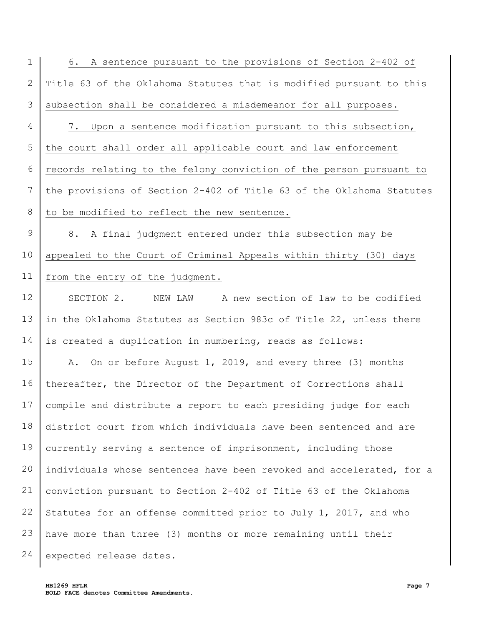1 2 3 4 5 6 7 8 9 10 11 12 13 14 15 16 17 6. A sentence pursuant to the provisions of Section 2-402 of Title 63 of the Oklahoma Statutes that is modified pursuant to this subsection shall be considered a misdemeanor for all purposes. 7. Upon a sentence modification pursuant to this subsection, the court shall order all applicable court and law enforcement records relating to the felony conviction of the person pursuant to the provisions of Section 2-402 of Title 63 of the Oklahoma Statutes to be modified to reflect the new sentence. 8. A final judgment entered under this subsection may be appealed to the Court of Criminal Appeals within thirty (30) days from the entry of the judgment. SECTION 2. NEW LAW A new section of law to be codified in the Oklahoma Statutes as Section 983c of Title 22, unless there is created a duplication in numbering, reads as follows: A. On or before August 1, 2019, and every three (3) months thereafter, the Director of the Department of Corrections shall compile and distribute a report to each presiding judge for each

18 19 20 21 22 23 24 district court from which individuals have been sentenced and are currently serving a sentence of imprisonment, including those individuals whose sentences have been revoked and accelerated, for a conviction pursuant to Section 2-402 of Title 63 of the Oklahoma Statutes for an offense committed prior to July 1, 2017, and who have more than three (3) months or more remaining until their expected release dates.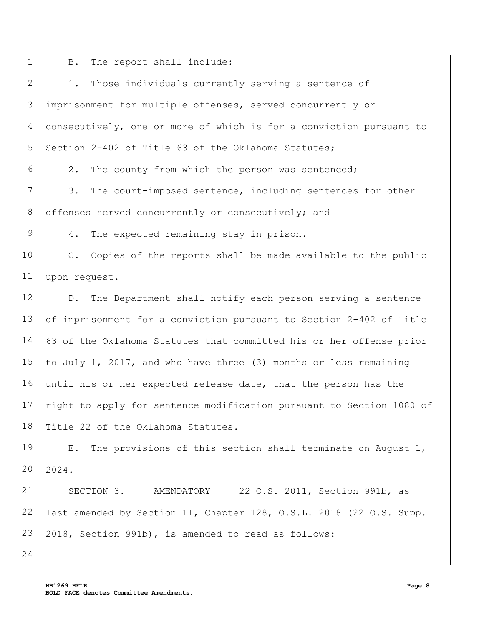- 1
	- B. The report shall include:

| $\overline{2}$  | Those individuals currently serving a sentence of<br>$1$ .                   |
|-----------------|------------------------------------------------------------------------------|
| 3               | imprisonment for multiple offenses, served concurrently or                   |
| 4               | consecutively, one or more of which is for a conviction pursuant to          |
| 5               | Section 2-402 of Title 63 of the Oklahoma Statutes;                          |
| 6               | 2.<br>The county from which the person was sentenced;                        |
| $7\overline{ }$ | 3.<br>The court-imposed sentence, including sentences for other              |
| 8               | offenses served concurrently or consecutively; and                           |
| 9               | $4$ .<br>The expected remaining stay in prison.                              |
| 10              | Copies of the reports shall be made available to the public<br>$C_{\bullet}$ |
| 11              | upon request.                                                                |
| 12              | The Department shall notify each person serving a sentence<br>$D$ .          |
| 13              | of imprisonment for a conviction pursuant to Section 2-402 of Title          |
| 14              | 63 of the Oklahoma Statutes that committed his or her offense prior          |
| 15              | to July 1, 2017, and who have three (3) months or less remaining             |
| 16              | until his or her expected release date, that the person has the              |
| 17              | right to apply for sentence modification pursuant to Section 1080 of         |
|                 | 18 Title 22 of the Oklahoma Statutes.                                        |
| 19              | The provisions of this section shall terminate on August 1,<br>E.            |
| 20              | 2024.                                                                        |
| 21              | SECTION 3.<br>AMENDATORY 22 O.S. 2011, Section 991b, as                      |
| 22              | last amended by Section 11, Chapter 128, O.S.L. 2018 (22 O.S. Supp.          |
| 23              | 2018, Section 991b), is amended to read as follows:                          |
| 24              |                                                                              |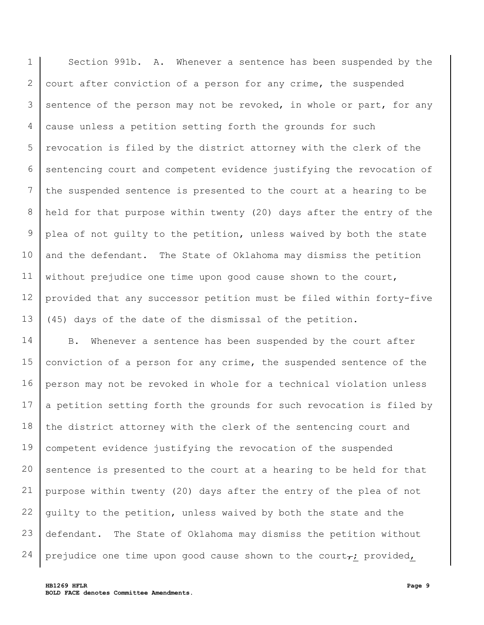1 2 3 4 5 6 7 8 9 10 11 12 13 Section 991b. A. Whenever a sentence has been suspended by the court after conviction of a person for any crime, the suspended sentence of the person may not be revoked, in whole or part, for any cause unless a petition setting forth the grounds for such revocation is filed by the district attorney with the clerk of the sentencing court and competent evidence justifying the revocation of the suspended sentence is presented to the court at a hearing to be held for that purpose within twenty (20) days after the entry of the plea of not guilty to the petition, unless waived by both the state and the defendant. The State of Oklahoma may dismiss the petition without prejudice one time upon good cause shown to the court, provided that any successor petition must be filed within forty-five (45) days of the date of the dismissal of the petition.

14 15 16 17 18 19 20 21 22 23 24 B. Whenever a sentence has been suspended by the court after conviction of a person for any crime, the suspended sentence of the person may not be revoked in whole for a technical violation unless a petition setting forth the grounds for such revocation is filed by the district attorney with the clerk of the sentencing court and competent evidence justifying the revocation of the suspended sentence is presented to the court at a hearing to be held for that purpose within twenty (20) days after the entry of the plea of not guilty to the petition, unless waived by both the state and the defendant. The State of Oklahoma may dismiss the petition without prejudice one time upon good cause shown to the court $_{\tau}$ ; provided,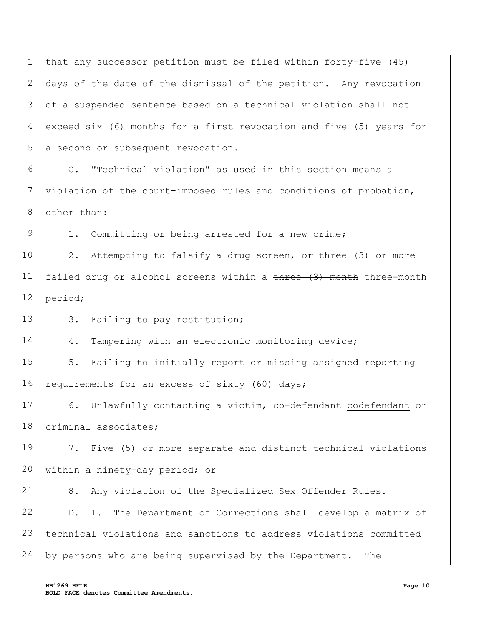1 2 3 4 5 that any successor petition must be filed within forty-five (45) days of the date of the dismissal of the petition. Any revocation of a suspended sentence based on a technical violation shall not exceed six (6) months for a first revocation and five (5) years for a second or subsequent revocation.

6 7 8 C. "Technical violation" as used in this section means a violation of the court-imposed rules and conditions of probation, other than:

1. Committing or being arrested for a new crime;

10 11 12 2. Attempting to falsify a drug screen, or three  $\{3\}$  or more failed drug or alcohol screens within a three (3) month three-month period;

13 3. Failing to pay restitution;

9

14

4. Tampering with an electronic monitoring device;

15 16 5. Failing to initially report or missing assigned reporting requirements for an excess of sixty (60) days;

17 18 6. Unlawfully contacting a victim, co-defendant codefendant or criminal associates;

19 20 7. Five  $\{5\}$  or more separate and distinct technical violations within a ninety-day period; or

21 8. Any violation of the Specialized Sex Offender Rules.

22 23 24 D. 1. The Department of Corrections shall develop a matrix of technical violations and sanctions to address violations committed by persons who are being supervised by the Department. The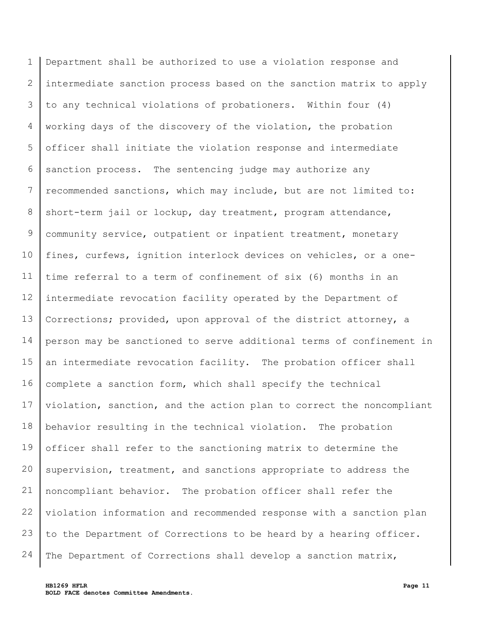1 2 3 4 5 6 7 8 9 10 11 12 13 14 15 16 17 18 19 20 21 22 23 24 Department shall be authorized to use a violation response and intermediate sanction process based on the sanction matrix to apply to any technical violations of probationers. Within four (4) working days of the discovery of the violation, the probation officer shall initiate the violation response and intermediate sanction process. The sentencing judge may authorize any recommended sanctions, which may include, but are not limited to: short-term jail or lockup, day treatment, program attendance, community service, outpatient or inpatient treatment, monetary fines, curfews, ignition interlock devices on vehicles, or a onetime referral to a term of confinement of six (6) months in an intermediate revocation facility operated by the Department of Corrections; provided, upon approval of the district attorney, a person may be sanctioned to serve additional terms of confinement in an intermediate revocation facility. The probation officer shall complete a sanction form, which shall specify the technical violation, sanction, and the action plan to correct the noncompliant behavior resulting in the technical violation. The probation officer shall refer to the sanctioning matrix to determine the supervision, treatment, and sanctions appropriate to address the noncompliant behavior. The probation officer shall refer the violation information and recommended response with a sanction plan to the Department of Corrections to be heard by a hearing officer. The Department of Corrections shall develop a sanction matrix,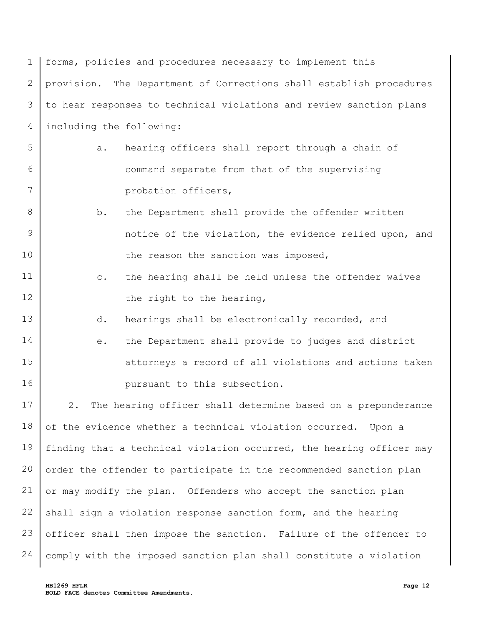| 1               | forms, policies and procedures necessary to implement this                                                                  |
|-----------------|-----------------------------------------------------------------------------------------------------------------------------|
| $\mathbf{2}$    | provision. The Department of Corrections shall establish procedures                                                         |
| 3               | to hear responses to technical violations and review sanction plans                                                         |
| 4               | including the following:                                                                                                    |
| 5               | hearing officers shall report through a chain of<br>a.                                                                      |
| 6               | command separate from that of the supervising                                                                               |
| $7\phantom{.0}$ | probation officers,                                                                                                         |
| 8               | the Department shall provide the offender written<br>b.                                                                     |
| 9               | notice of the violation, the evidence relied upon, and                                                                      |
| 10              | the reason the sanction was imposed,                                                                                        |
| 11              | the hearing shall be held unless the offender waives<br>$\mathsf{C}$ .                                                      |
| 12              | the right to the hearing,                                                                                                   |
| 13              | hearings shall be electronically recorded, and<br>d.                                                                        |
| 14              | the Department shall provide to judges and district<br>$\mathrel{\mathop{\text{e}}\mathrel{\mathop{\text{--}}\nolimits}}$ . |
| 15              | attorneys a record of all violations and actions taken                                                                      |
| 16              | pursuant to this subsection.                                                                                                |
| 17              | The hearing officer shall determine based on a preponderance<br>2.                                                          |
| 18              | of the evidence whether a technical violation occurred. Upon a                                                              |
| 19              | finding that a technical violation occurred, the hearing officer may                                                        |
| 20              | order the offender to participate in the recommended sanction plan                                                          |
| 21              | or may modify the plan. Offenders who accept the sanction plan                                                              |
| 22              | shall sign a violation response sanction form, and the hearing                                                              |
| 23              | officer shall then impose the sanction. Failure of the offender to                                                          |
| 24              | comply with the imposed sanction plan shall constitute a violation                                                          |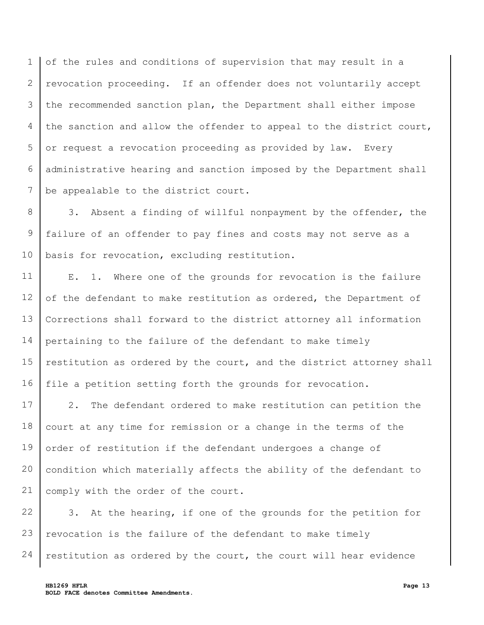1 2 3 4 5 6 7 of the rules and conditions of supervision that may result in a revocation proceeding. If an offender does not voluntarily accept the recommended sanction plan, the Department shall either impose the sanction and allow the offender to appeal to the district court, or request a revocation proceeding as provided by law. Every administrative hearing and sanction imposed by the Department shall be appealable to the district court.

8 9 10 3. Absent a finding of willful nonpayment by the offender, the failure of an offender to pay fines and costs may not serve as a basis for revocation, excluding restitution.

11 12 13 14 15 16 E. 1. Where one of the grounds for revocation is the failure of the defendant to make restitution as ordered, the Department of Corrections shall forward to the district attorney all information pertaining to the failure of the defendant to make timely restitution as ordered by the court, and the district attorney shall file a petition setting forth the grounds for revocation.

17 18 19 20 21 2. The defendant ordered to make restitution can petition the court at any time for remission or a change in the terms of the order of restitution if the defendant undergoes a change of condition which materially affects the ability of the defendant to comply with the order of the court.

22 23 24 3. At the hearing, if one of the grounds for the petition for revocation is the failure of the defendant to make timely restitution as ordered by the court, the court will hear evidence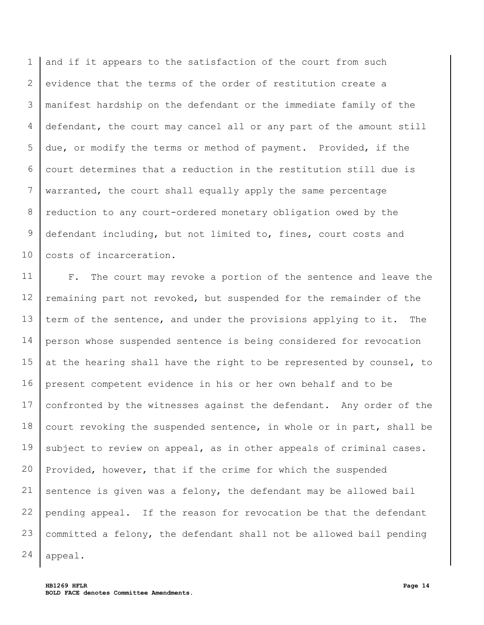1 2 3 4 5 6 7 8 9 10 and if it appears to the satisfaction of the court from such evidence that the terms of the order of restitution create a manifest hardship on the defendant or the immediate family of the defendant, the court may cancel all or any part of the amount still due, or modify the terms or method of payment. Provided, if the court determines that a reduction in the restitution still due is warranted, the court shall equally apply the same percentage reduction to any court-ordered monetary obligation owed by the defendant including, but not limited to, fines, court costs and costs of incarceration.

11 12 13 14 15 16 17 18 19 20 21 22 23 24 F. The court may revoke a portion of the sentence and leave the remaining part not revoked, but suspended for the remainder of the term of the sentence, and under the provisions applying to it. The person whose suspended sentence is being considered for revocation at the hearing shall have the right to be represented by counsel, to present competent evidence in his or her own behalf and to be confronted by the witnesses against the defendant. Any order of the court revoking the suspended sentence, in whole or in part, shall be subject to review on appeal, as in other appeals of criminal cases. Provided, however, that if the crime for which the suspended sentence is given was a felony, the defendant may be allowed bail pending appeal. If the reason for revocation be that the defendant committed a felony, the defendant shall not be allowed bail pending appeal.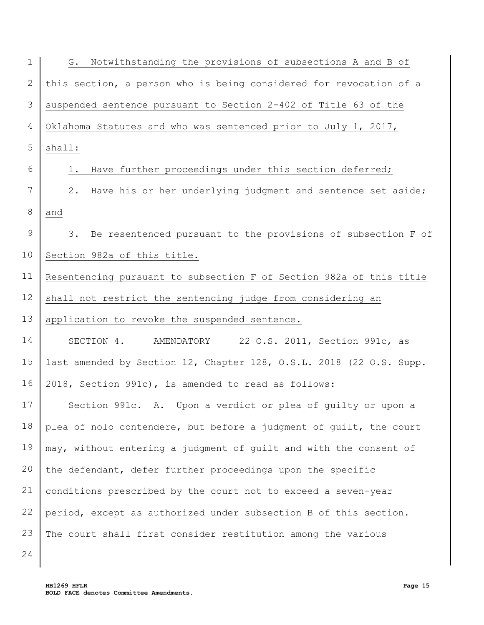| $\mathbf 1$  | Notwithstanding the provisions of subsections A and B of<br>G.      |
|--------------|---------------------------------------------------------------------|
| $\mathbf{2}$ | this section, a person who is being considered for revocation of a  |
| 3            | suspended sentence pursuant to Section 2-402 of Title 63 of the     |
| 4            | Oklahoma Statutes and who was sentenced prior to July 1, 2017,      |
| 5            | shall:                                                              |
| 6            | Have further proceedings under this section deferred;<br>1.         |
| 7            | Have his or her underlying judgment and sentence set aside;<br>2.   |
| $8\,$        | and                                                                 |
| $\mathsf 9$  | Be resentenced pursuant to the provisions of subsection F of<br>3.  |
| 10           | Section 982a of this title.                                         |
| 11           | Resentencing pursuant to subsection F of Section 982a of this title |
| 12           | shall not restrict the sentencing judge from considering an         |
| 13           | application to revoke the suspended sentence.                       |
| 14           | SECTION 4. AMENDATORY 22 O.S. 2011, Section 991c, as                |
| 15           | last amended by Section 12, Chapter 128, O.S.L. 2018 (22 O.S. Supp. |
| 16           | 2018, Section 991c), is amended to read as follows:                 |
| 17           | Section 991c. A. Upon a verdict or plea of quilty or upon a         |
| 18           | plea of nolo contendere, but before a judgment of guilt, the court  |
| 19           | may, without entering a judgment of guilt and with the consent of   |
| 20           | the defendant, defer further proceedings upon the specific          |
| 21           | conditions prescribed by the court not to exceed a seven-year       |
| 22           | period, except as authorized under subsection B of this section.    |
| 23           | The court shall first consider restitution among the various        |
| 24           |                                                                     |

**HB1269 HFLR Page 15 BOLD FACE denotes Committee Amendments.**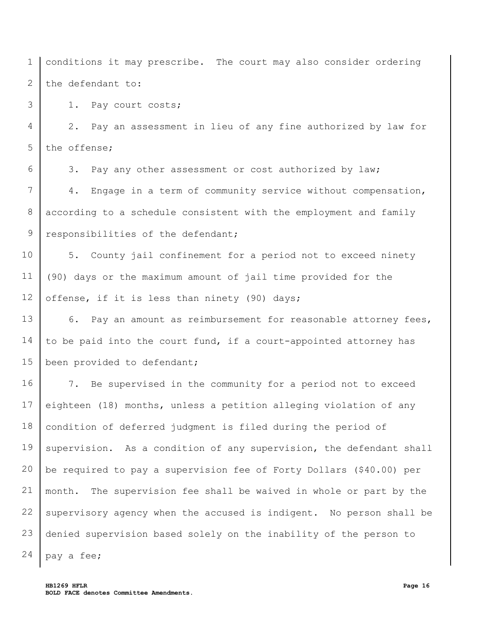1 2 conditions it may prescribe. The court may also consider ordering the defendant to:

1. Pay court costs;

3

6

4 5 2. Pay an assessment in lieu of any fine authorized by law for the offense;

3. Pay any other assessment or cost authorized by law;

7 8 9 4. Engage in a term of community service without compensation, according to a schedule consistent with the employment and family responsibilities of the defendant;

10 11 12 5. County jail confinement for a period not to exceed ninety (90) days or the maximum amount of jail time provided for the offense, if it is less than ninety (90) days;

13 14 15 6. Pay an amount as reimbursement for reasonable attorney fees, to be paid into the court fund, if a court-appointed attorney has been provided to defendant;

16 17 18 19 20 21 22 23 24 7. Be supervised in the community for a period not to exceed eighteen (18) months, unless a petition alleging violation of any condition of deferred judgment is filed during the period of supervision. As a condition of any supervision, the defendant shall be required to pay a supervision fee of Forty Dollars (\$40.00) per month. The supervision fee shall be waived in whole or part by the supervisory agency when the accused is indigent. No person shall be denied supervision based solely on the inability of the person to pay a fee;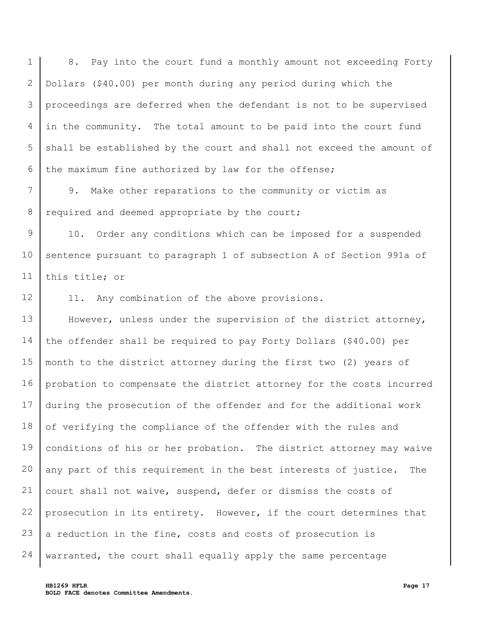1 2 3 4 5 6 8. Pay into the court fund a monthly amount not exceeding Forty Dollars (\$40.00) per month during any period during which the proceedings are deferred when the defendant is not to be supervised in the community. The total amount to be paid into the court fund shall be established by the court and shall not exceed the amount of the maximum fine authorized by law for the offense;

7 8 9. Make other reparations to the community or victim as required and deemed appropriate by the court;

9 10 11 10. Order any conditions which can be imposed for a suspended sentence pursuant to paragraph 1 of subsection A of Section 991a of this title; or

12 11. Any combination of the above provisions.

13 14 15 16 17 18 19 20 21 22 23 24 However, unless under the supervision of the district attorney, the offender shall be required to pay Forty Dollars (\$40.00) per month to the district attorney during the first two (2) years of probation to compensate the district attorney for the costs incurred during the prosecution of the offender and for the additional work of verifying the compliance of the offender with the rules and conditions of his or her probation. The district attorney may waive any part of this requirement in the best interests of justice. The court shall not waive, suspend, defer or dismiss the costs of prosecution in its entirety. However, if the court determines that a reduction in the fine, costs and costs of prosecution is warranted, the court shall equally apply the same percentage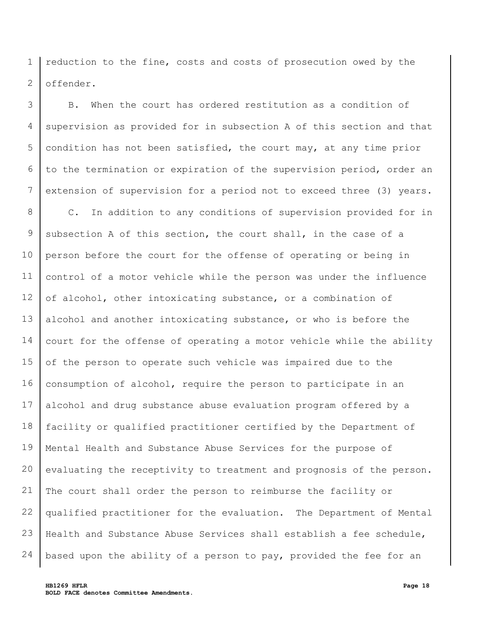1 2 reduction to the fine, costs and costs of prosecution owed by the offender.

3 4 5 6 7 B. When the court has ordered restitution as a condition of supervision as provided for in subsection A of this section and that condition has not been satisfied, the court may, at any time prior to the termination or expiration of the supervision period, order an extension of supervision for a period not to exceed three (3) years.

8 9 10 11 12 13 14 15 16 17 18 19 20 21 22 23 24 C. In addition to any conditions of supervision provided for in subsection A of this section, the court shall, in the case of a person before the court for the offense of operating or being in control of a motor vehicle while the person was under the influence of alcohol, other intoxicating substance, or a combination of alcohol and another intoxicating substance, or who is before the court for the offense of operating a motor vehicle while the ability of the person to operate such vehicle was impaired due to the consumption of alcohol, require the person to participate in an alcohol and drug substance abuse evaluation program offered by a facility or qualified practitioner certified by the Department of Mental Health and Substance Abuse Services for the purpose of evaluating the receptivity to treatment and prognosis of the person. The court shall order the person to reimburse the facility or qualified practitioner for the evaluation. The Department of Mental Health and Substance Abuse Services shall establish a fee schedule, based upon the ability of a person to pay, provided the fee for an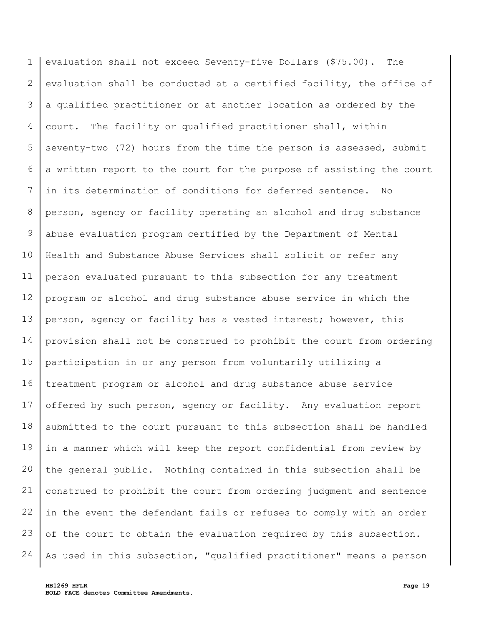1 2 3 4 5 6 7 8 9 10 11 12 13 14 15 16 17 18 19 20 21 22 23 24 evaluation shall not exceed Seventy-five Dollars (\$75.00). The evaluation shall be conducted at a certified facility, the office of a qualified practitioner or at another location as ordered by the court. The facility or qualified practitioner shall, within seventy-two (72) hours from the time the person is assessed, submit a written report to the court for the purpose of assisting the court in its determination of conditions for deferred sentence. No person, agency or facility operating an alcohol and drug substance abuse evaluation program certified by the Department of Mental Health and Substance Abuse Services shall solicit or refer any person evaluated pursuant to this subsection for any treatment program or alcohol and drug substance abuse service in which the person, agency or facility has a vested interest; however, this provision shall not be construed to prohibit the court from ordering participation in or any person from voluntarily utilizing a treatment program or alcohol and drug substance abuse service offered by such person, agency or facility. Any evaluation report submitted to the court pursuant to this subsection shall be handled in a manner which will keep the report confidential from review by the general public. Nothing contained in this subsection shall be construed to prohibit the court from ordering judgment and sentence in the event the defendant fails or refuses to comply with an order of the court to obtain the evaluation required by this subsection. As used in this subsection, "qualified practitioner" means a person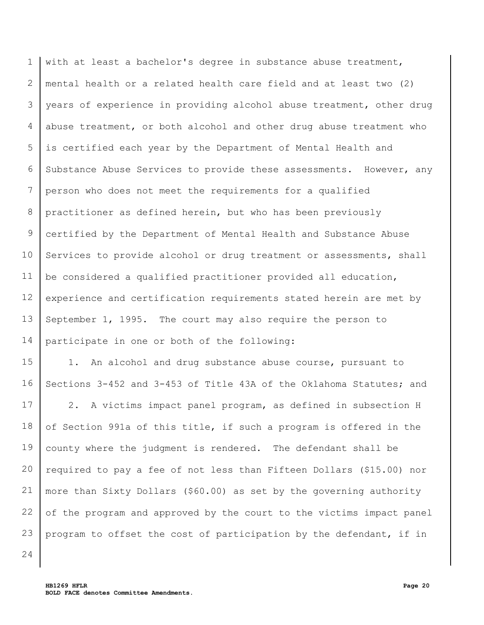1 2 3 4 5 6 7 8 9 10 11 12 13 14 with at least a bachelor's degree in substance abuse treatment, mental health or a related health care field and at least two (2) years of experience in providing alcohol abuse treatment, other drug abuse treatment, or both alcohol and other drug abuse treatment who is certified each year by the Department of Mental Health and Substance Abuse Services to provide these assessments. However, any person who does not meet the requirements for a qualified practitioner as defined herein, but who has been previously certified by the Department of Mental Health and Substance Abuse Services to provide alcohol or drug treatment or assessments, shall be considered a qualified practitioner provided all education, experience and certification requirements stated herein are met by September 1, 1995. The court may also require the person to participate in one or both of the following:

15 16 1. An alcohol and drug substance abuse course, pursuant to Sections 3-452 and 3-453 of Title 43A of the Oklahoma Statutes; and

17 18 19 20 21 22 23 2. A victims impact panel program, as defined in subsection H of Section 991a of this title, if such a program is offered in the county where the judgment is rendered. The defendant shall be required to pay a fee of not less than Fifteen Dollars (\$15.00) nor more than Sixty Dollars (\$60.00) as set by the governing authority of the program and approved by the court to the victims impact panel program to offset the cost of participation by the defendant, if in

24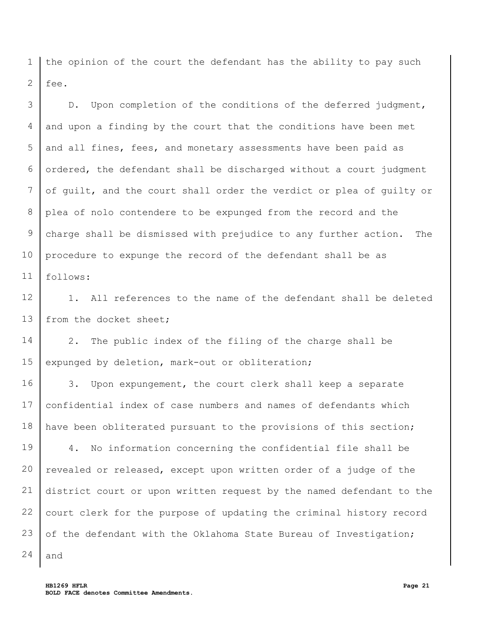1 2 the opinion of the court the defendant has the ability to pay such fee.

3 4 5 6 7 8 9 10 11 D. Upon completion of the conditions of the deferred judgment, and upon a finding by the court that the conditions have been met and all fines, fees, and monetary assessments have been paid as ordered, the defendant shall be discharged without a court judgment of guilt, and the court shall order the verdict or plea of guilty or plea of nolo contendere to be expunged from the record and the charge shall be dismissed with prejudice to any further action. The procedure to expunge the record of the defendant shall be as follows:

12 13 1. All references to the name of the defendant shall be deleted from the docket sheet;

14 15 2. The public index of the filing of the charge shall be expunged by deletion, mark-out or obliteration;

16 17 18 3. Upon expungement, the court clerk shall keep a separate confidential index of case numbers and names of defendants which have been obliterated pursuant to the provisions of this section;

19 20 21 22 23 4. No information concerning the confidential file shall be revealed or released, except upon written order of a judge of the district court or upon written request by the named defendant to the court clerk for the purpose of updating the criminal history record of the defendant with the Oklahoma State Bureau of Investigation;

**HB1269 HFLR Page 21 BOLD FACE denotes Committee Amendments.**

24

and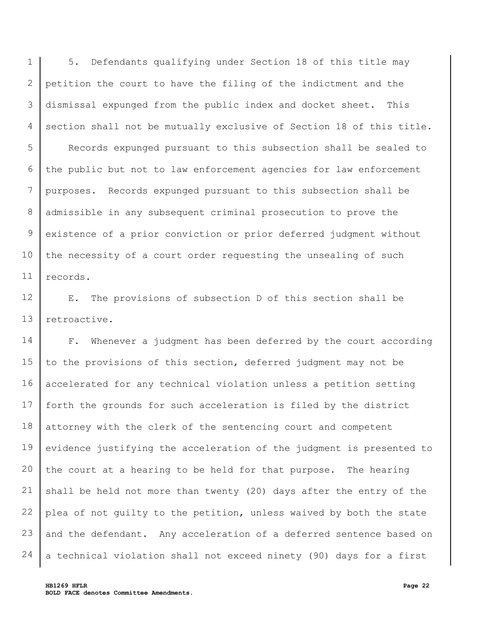1 2 3 4 5 6 7 8 9 10 11 5. Defendants qualifying under Section 18 of this title may petition the court to have the filing of the indictment and the dismissal expunged from the public index and docket sheet. This section shall not be mutually exclusive of Section 18 of this title. Records expunged pursuant to this subsection shall be sealed to the public but not to law enforcement agencies for law enforcement purposes. Records expunged pursuant to this subsection shall be admissible in any subsequent criminal prosecution to prove the existence of a prior conviction or prior deferred judgment without the necessity of a court order requesting the unsealing of such records.

12 13 E. The provisions of subsection D of this section shall be retroactive.

14 15 16 17 18 19 20 21 22 23 24 F. Whenever a judgment has been deferred by the court according to the provisions of this section, deferred judgment may not be accelerated for any technical violation unless a petition setting forth the grounds for such acceleration is filed by the district attorney with the clerk of the sentencing court and competent evidence justifying the acceleration of the judgment is presented to the court at a hearing to be held for that purpose. The hearing shall be held not more than twenty (20) days after the entry of the plea of not guilty to the petition, unless waived by both the state and the defendant. Any acceleration of a deferred sentence based on a technical violation shall not exceed ninety (90) days for a first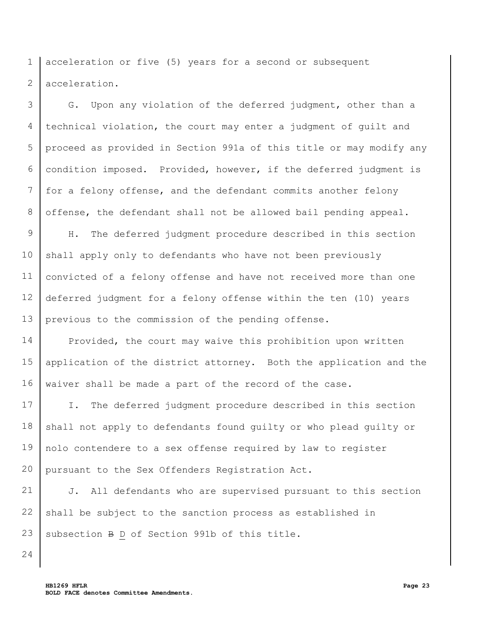1 2 acceleration or five (5) years for a second or subsequent acceleration.

3 4 5 6 7 8 G. Upon any violation of the deferred judgment, other than a technical violation, the court may enter a judgment of guilt and proceed as provided in Section 991a of this title or may modify any condition imposed. Provided, however, if the deferred judgment is for a felony offense, and the defendant commits another felony offense, the defendant shall not be allowed bail pending appeal.

9 10 11 12 13 H. The deferred judgment procedure described in this section shall apply only to defendants who have not been previously convicted of a felony offense and have not received more than one deferred judgment for a felony offense within the ten (10) years previous to the commission of the pending offense.

14 15 16 Provided, the court may waive this prohibition upon written application of the district attorney. Both the application and the waiver shall be made a part of the record of the case.

17 18 19 20 I. The deferred judgment procedure described in this section shall not apply to defendants found guilty or who plead guilty or nolo contendere to a sex offense required by law to register pursuant to the Sex Offenders Registration Act.

21 22 23 J. All defendants who are supervised pursuant to this section shall be subject to the sanction process as established in subsection B D of Section 991b of this title.

24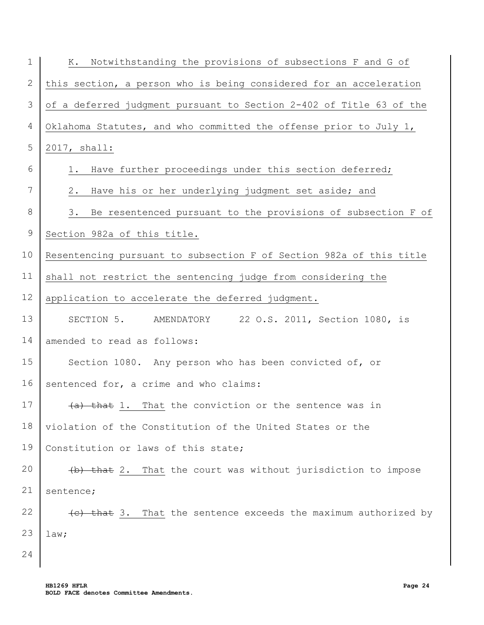| $\mathbf 1$ | Notwithstanding the provisions of subsections F and G of<br>К.      |
|-------------|---------------------------------------------------------------------|
| 2           | this section, a person who is being considered for an acceleration  |
| 3           | of a deferred judgment pursuant to Section 2-402 of Title 63 of the |
| 4           | Oklahoma Statutes, and who committed the offense prior to July 1,   |
| 5           | 2017, shall:                                                        |
| 6           | Have further proceedings under this section deferred;<br>1.         |
| 7           | Have his or her underlying judgment set aside; and<br>2.            |
| 8           | Be resentenced pursuant to the provisions of subsection F of<br>3.  |
| $\mathsf 9$ | Section 982a of this title.                                         |
| 10          | Resentencing pursuant to subsection F of Section 982a of this title |
| 11          | shall not restrict the sentencing judge from considering the        |
| 12          | application to accelerate the deferred judgment.                    |
| 13          | SECTION 5. AMENDATORY 22 O.S. 2011, Section 1080, is                |
| 14          | amended to read as follows:                                         |
| 15          | Section 1080. Any person who has been convicted of, or              |
| 16          | sentenced for, a crime and who claims:                              |
| 17          | $(a)$ that 1. That the conviction or the sentence was in            |
| 18          | violation of the Constitution of the United States or the           |
| 19          | Constitution or laws of this state;                                 |
| 20          | (b) that 2. That the court was without jurisdiction to impose       |
| 21          | sentence;                                                           |
| 22          | (e) that 3. That the sentence exceeds the maximum authorized by     |
| 23          | law;                                                                |
| 24          |                                                                     |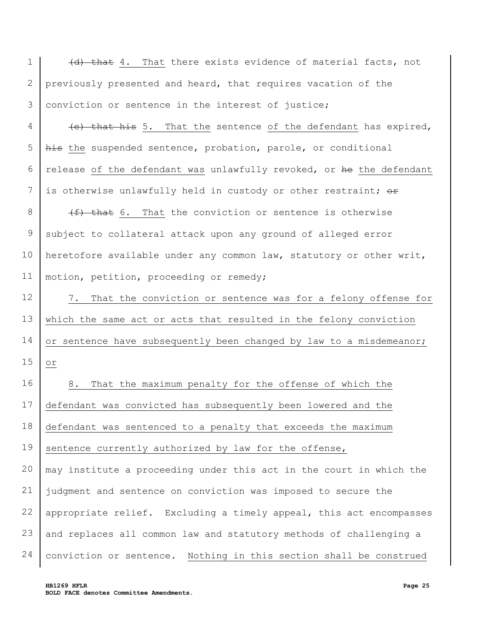1 2 3 4 5 6 7 8 9 10 11 12 13 14 15 16 17 18 19 20 21 22 23 24 (d) that 4. That there exists evidence of material facts, not previously presented and heard, that requires vacation of the conviction or sentence in the interest of justice; (e) that his 5. That the sentence of the defendant has expired, his the suspended sentence, probation, parole, or conditional release of the defendant was unlawfully revoked, or he the defendant is otherwise unlawfully held in custody or other restraint; or  $(f)$  that 6. That the conviction or sentence is otherwise subject to collateral attack upon any ground of alleged error heretofore available under any common law, statutory or other writ, motion, petition, proceeding or remedy; 7. That the conviction or sentence was for a felony offense for which the same act or acts that resulted in the felony conviction or sentence have subsequently been changed by law to a misdemeanor; or 8. That the maximum penalty for the offense of which the defendant was convicted has subsequently been lowered and the defendant was sentenced to a penalty that exceeds the maximum sentence currently authorized by law for the offense, may institute a proceeding under this act in the court in which the judgment and sentence on conviction was imposed to secure the appropriate relief. Excluding a timely appeal, this act encompasses and replaces all common law and statutory methods of challenging a conviction or sentence. Nothing in this section shall be construed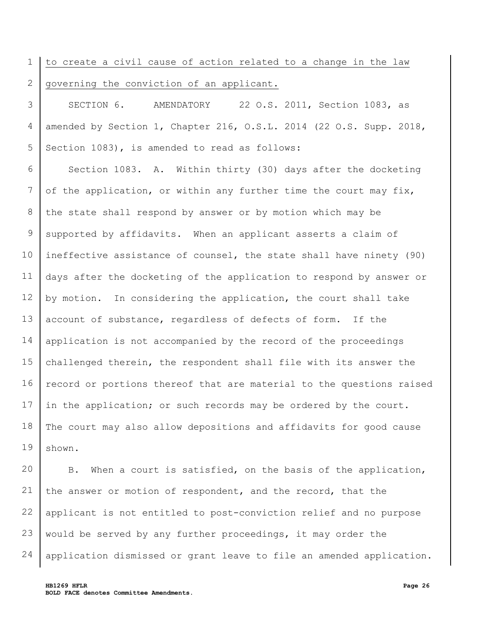## 1 2 to create a civil cause of action related to a change in the law governing the conviction of an applicant.

3 4 5 SECTION 6. AMENDATORY 22 O.S. 2011, Section 1083, as amended by Section 1, Chapter 216, O.S.L. 2014 (22 O.S. Supp. 2018, Section 1083), is amended to read as follows:

6 7 8 9 10 11 12 13 14 15 16 17 18 19 Section 1083. A. Within thirty (30) days after the docketing of the application, or within any further time the court may fix, the state shall respond by answer or by motion which may be supported by affidavits. When an applicant asserts a claim of ineffective assistance of counsel, the state shall have ninety (90) days after the docketing of the application to respond by answer or by motion. In considering the application, the court shall take account of substance, regardless of defects of form. If the application is not accompanied by the record of the proceedings challenged therein, the respondent shall file with its answer the record or portions thereof that are material to the questions raised in the application; or such records may be ordered by the court. The court may also allow depositions and affidavits for good cause shown.

20 21 22 23 24 B. When a court is satisfied, on the basis of the application, the answer or motion of respondent, and the record, that the applicant is not entitled to post-conviction relief and no purpose would be served by any further proceedings, it may order the application dismissed or grant leave to file an amended application.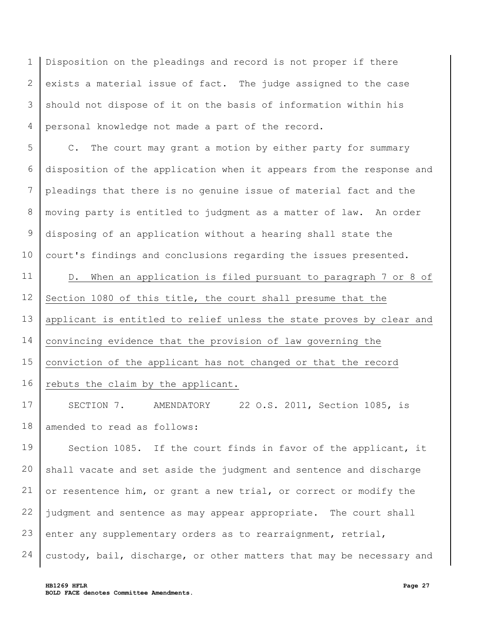1 2 3 4 Disposition on the pleadings and record is not proper if there exists a material issue of fact. The judge assigned to the case should not dispose of it on the basis of information within his personal knowledge not made a part of the record.

5 6 7 8 9 10 C. The court may grant a motion by either party for summary disposition of the application when it appears from the response and pleadings that there is no genuine issue of material fact and the moving party is entitled to judgment as a matter of law. An order disposing of an application without a hearing shall state the court's findings and conclusions regarding the issues presented.

11 12 13 14 15 16 D. When an application is filed pursuant to paragraph 7 or 8 of Section 1080 of this title, the court shall presume that the applicant is entitled to relief unless the state proves by clear and convincing evidence that the provision of law governing the conviction of the applicant has not changed or that the record rebuts the claim by the applicant.

17 18 SECTION 7. AMENDATORY 22 O.S. 2011, Section 1085, is amended to read as follows:

19 20 21 22 23 24 Section 1085. If the court finds in favor of the applicant, it shall vacate and set aside the judgment and sentence and discharge or resentence him, or grant a new trial, or correct or modify the judgment and sentence as may appear appropriate. The court shall enter any supplementary orders as to rearraignment, retrial, custody, bail, discharge, or other matters that may be necessary and